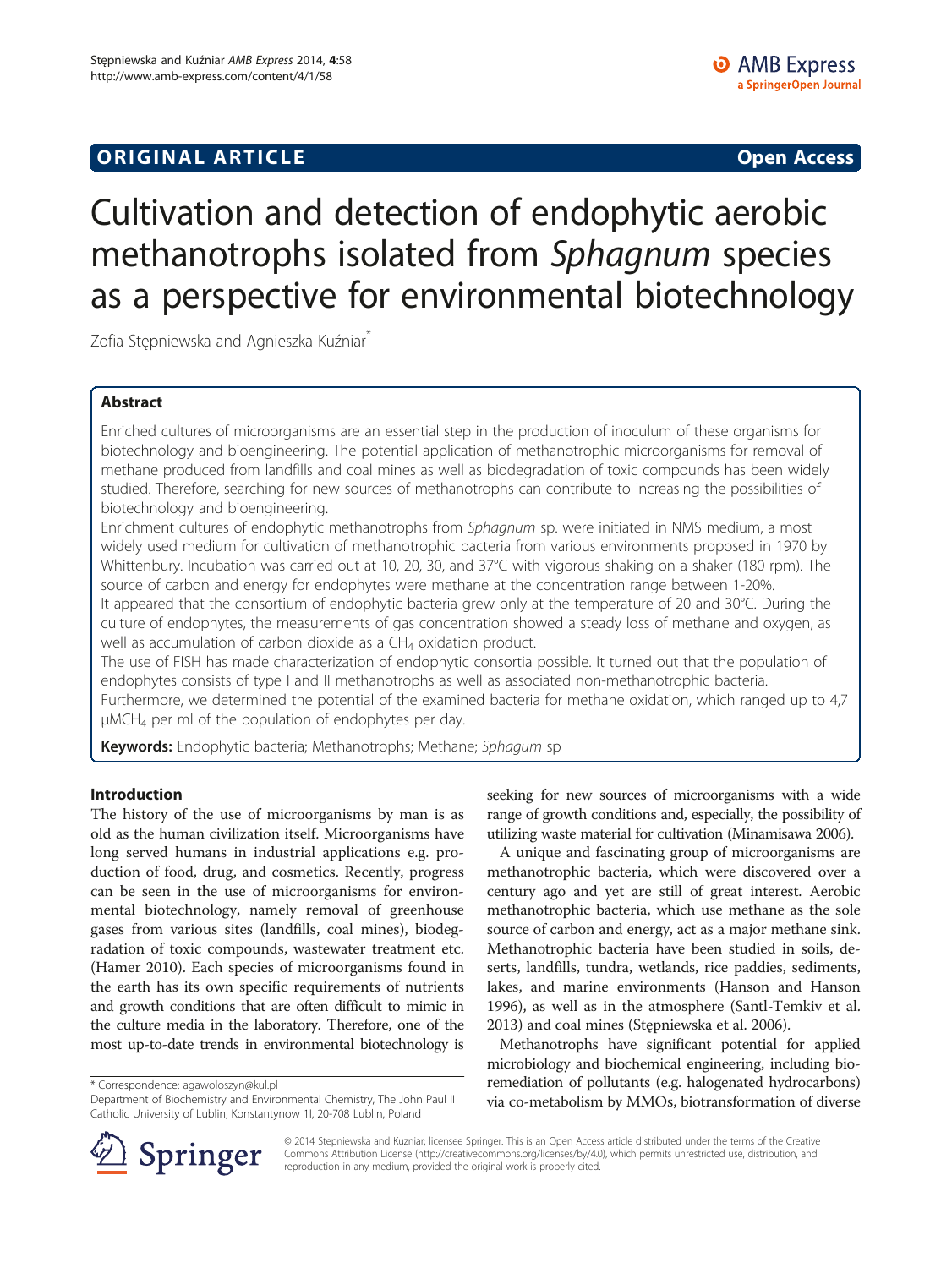# **ORIGINAL ARTICLE CONSUMING A LIGACION CONSUMING A LIGACION CONSUMING A LIGACION**

# Cultivation and detection of endophytic aerobic methanotrophs isolated from Sphagnum species as a perspective for environmental biotechnology

Zofia Stępniewska and Agnieszka Kuźniar<sup>\*</sup>

# Abstract

Enriched cultures of microorganisms are an essential step in the production of inoculum of these organisms for biotechnology and bioengineering. The potential application of methanotrophic microorganisms for removal of methane produced from landfills and coal mines as well as biodegradation of toxic compounds has been widely studied. Therefore, searching for new sources of methanotrophs can contribute to increasing the possibilities of biotechnology and bioengineering.

Enrichment cultures of endophytic methanotrophs from Sphagnum sp. were initiated in NMS medium, a most widely used medium for cultivation of methanotrophic bacteria from various environments proposed in 1970 by Whittenbury. Incubation was carried out at 10, 20, 30, and 37°C with vigorous shaking on a shaker (180 rpm). The source of carbon and energy for endophytes were methane at the concentration range between 1-20%. It appeared that the consortium of endophytic bacteria grew only at the temperature of 20 and 30°C. During the culture of endophytes, the measurements of gas concentration showed a steady loss of methane and oxygen, as well as accumulation of carbon dioxide as a  $CH<sub>4</sub>$  oxidation product.

The use of FISH has made characterization of endophytic consortia possible. It turned out that the population of endophytes consists of type I and II methanotrophs as well as associated non-methanotrophic bacteria.

Furthermore, we determined the potential of the examined bacteria for methane oxidation, which ranged up to 4,7 μMCH4 per ml of the population of endophytes per day.

Keywords: Endophytic bacteria; Methanotrophs; Methane; Sphagum sp

# Introduction

The history of the use of microorganisms by man is as old as the human civilization itself. Microorganisms have long served humans in industrial applications e.g. production of food, drug, and cosmetics. Recently, progress can be seen in the use of microorganisms for environmental biotechnology, namely removal of greenhouse gases from various sites (landfills, coal mines), biodegradation of toxic compounds, wastewater treatment etc. (Hamer [2010](#page-7-0)). Each species of microorganisms found in the earth has its own specific requirements of nutrients and growth conditions that are often difficult to mimic in the culture media in the laboratory. Therefore, one of the most up-to-date trends in environmental biotechnology is

\* Correspondence: [agawoloszyn@kul.pl](mailto:agawoloszyn@kul.pl)



A unique and fascinating group of microorganisms are methanotrophic bacteria, which were discovered over a century ago and yet are still of great interest. Aerobic methanotrophic bacteria, which use methane as the sole source of carbon and energy, act as a major methane sink. Methanotrophic bacteria have been studied in soils, deserts, landfills, tundra, wetlands, rice paddies, sediments, lakes, and marine environments (Hanson and Hanson [1996](#page-7-0)), as well as in the atmosphere (Santl-Temkiv et al. [2013](#page-7-0)) and coal mines (Stępniewska et al. [2006\)](#page-8-0).

Methanotrophs have significant potential for applied microbiology and biochemical engineering, including bioremediation of pollutants (e.g. halogenated hydrocarbons) via co-metabolism by MMOs, biotransformation of diverse



© 2014 Stepniewska and Kuzniar; licensee Springer. This is an Open Access article distributed under the terms of the Creative Commons Attribution License (<http://creativecommons.org/licenses/by/4.0>), which permits unrestricted use, distribution, and reproduction in any medium, provided the original work is properly cited.

Department of Biochemistry and Environmental Chemistry, The John Paul II Catholic University of Lublin, Konstantynow 1I, 20-708 Lublin, Poland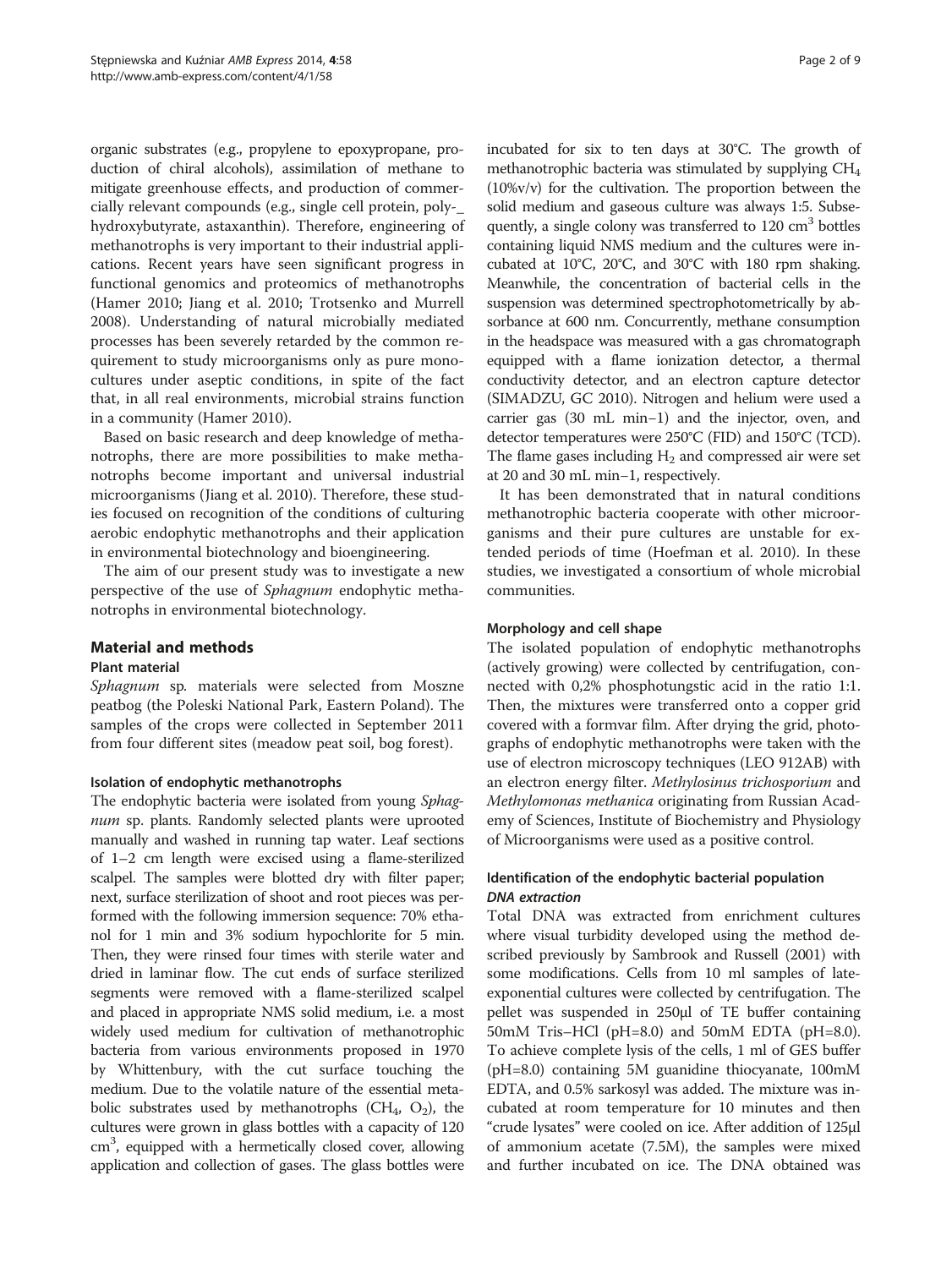organic substrates (e.g., propylene to epoxypropane, production of chiral alcohols), assimilation of methane to mitigate greenhouse effects, and production of commercially relevant compounds (e.g., single cell protein, poly-\_ hydroxybutyrate, astaxanthin). Therefore, engineering of methanotrophs is very important to their industrial applications. Recent years have seen significant progress in functional genomics and proteomics of methanotrophs (Hamer [2010;](#page-7-0) Jiang et al. [2010](#page-7-0); Trotsenko and Murrell [2008](#page-8-0)). Understanding of natural microbially mediated processes has been severely retarded by the common requirement to study microorganisms only as pure monocultures under aseptic conditions, in spite of the fact that, in all real environments, microbial strains function in a community (Hamer [2010](#page-7-0)).

Based on basic research and deep knowledge of methanotrophs, there are more possibilities to make methanotrophs become important and universal industrial microorganisms (Jiang et al. [2010\)](#page-7-0). Therefore, these studies focused on recognition of the conditions of culturing aerobic endophytic methanotrophs and their application in environmental biotechnology and bioengineering.

The aim of our present study was to investigate a new perspective of the use of Sphagnum endophytic methanotrophs in environmental biotechnology.

# Material and methods

# Plant material

Sphagnum sp. materials were selected from Moszne peatbog (the Poleski National Park, Eastern Poland). The samples of the crops were collected in September 2011 from four different sites (meadow peat soil, bog forest).

# Isolation of endophytic methanotrophs

The endophytic bacteria were isolated from young Sphagnum sp. plants. Randomly selected plants were uprooted manually and washed in running tap water. Leaf sections of 1–2 cm length were excised using a flame-sterilized scalpel. The samples were blotted dry with filter paper; next, surface sterilization of shoot and root pieces was performed with the following immersion sequence: 70% ethanol for 1 min and 3% sodium hypochlorite for 5 min. Then, they were rinsed four times with sterile water and dried in laminar flow. The cut ends of surface sterilized segments were removed with a flame-sterilized scalpel and placed in appropriate NMS solid medium, i.e. a most widely used medium for cultivation of methanotrophic bacteria from various environments proposed in 1970 by Whittenbury, with the cut surface touching the medium. Due to the volatile nature of the essential metabolic substrates used by methanotrophs  $(CH_4, O_2)$ , the cultures were grown in glass bottles with a capacity of 120 cm<sup>3</sup>, equipped with a hermetically closed cover, allowing application and collection of gases. The glass bottles were incubated for six to ten days at 30°C. The growth of methanotrophic bacteria was stimulated by supplying CH4 (10%v/v) for the cultivation. The proportion between the solid medium and gaseous culture was always 1:5. Subsequently, a single colony was transferred to  $120 \text{ cm}^3$  bottles containing liquid NMS medium and the cultures were incubated at 10°C, 20°C, and 30°C with 180 rpm shaking. Meanwhile, the concentration of bacterial cells in the suspension was determined spectrophotometrically by absorbance at 600 nm. Concurrently, methane consumption in the headspace was measured with a gas chromatograph equipped with a flame ionization detector, a thermal conductivity detector, and an electron capture detector (SIMADZU, GC 2010). Nitrogen and helium were used a carrier gas (30 mL min−1) and the injector, oven, and detector temperatures were 250°C (FID) and 150°C (TCD). The flame gases including  $H_2$  and compressed air were set at 20 and 30 mL min−1, respectively.

It has been demonstrated that in natural conditions methanotrophic bacteria cooperate with other microorganisms and their pure cultures are unstable for extended periods of time (Hoefman et al. [2010](#page-7-0)). In these studies, we investigated a consortium of whole microbial communities.

# Morphology and cell shape

The isolated population of endophytic methanotrophs (actively growing) were collected by centrifugation, connected with 0,2% phosphotungstic acid in the ratio 1:1. Then, the mixtures were transferred onto a copper grid covered with a formvar film. After drying the grid, photographs of endophytic methanotrophs were taken with the use of electron microscopy techniques (LEO 912AB) with an electron energy filter. Methylosinus trichosporium and Methylomonas methanica originating from Russian Academy of Sciences, Institute of Biochemistry and Physiology of Microorganisms were used as a positive control.

# Identification of the endophytic bacterial population DNA extraction

Total DNA was extracted from enrichment cultures where visual turbidity developed using the method described previously by Sambrook and Russell [\(2001\)](#page-7-0) with some modifications. Cells from 10 ml samples of lateexponential cultures were collected by centrifugation. The pellet was suspended in 250μl of TE buffer containing 50mM Tris–HCl (pH=8.0) and 50mM EDTA (pH=8.0). To achieve complete lysis of the cells, 1 ml of GES buffer (pH=8.0) containing 5M guanidine thiocyanate, 100mM EDTA, and 0.5% sarkosyl was added. The mixture was incubated at room temperature for 10 minutes and then "crude lysates" were cooled on ice. After addition of 125μl of ammonium acetate (7.5M), the samples were mixed and further incubated on ice. The DNA obtained was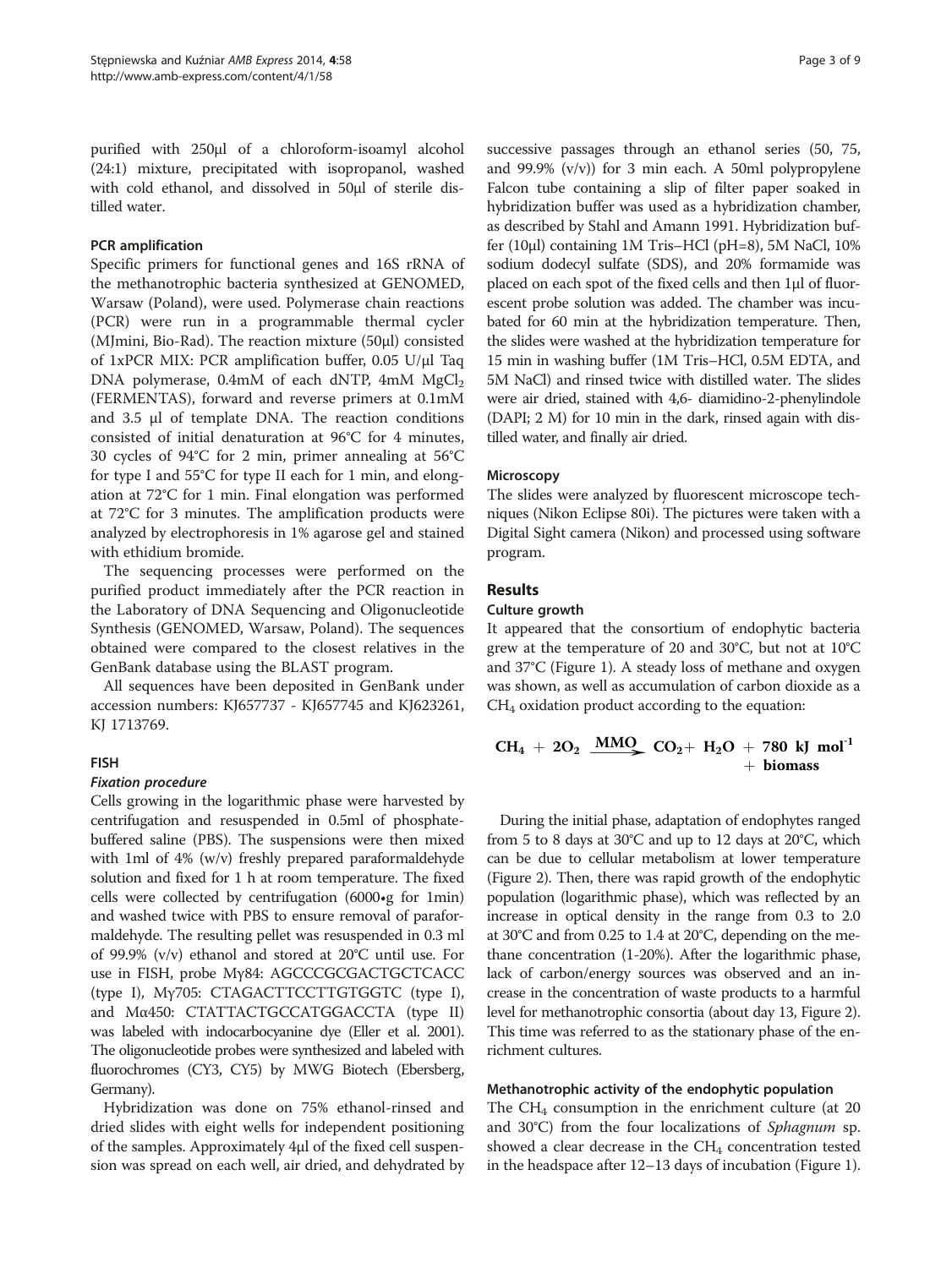purified with 250μl of a chloroform-isoamyl alcohol (24:1) mixture, precipitated with isopropanol, washed with cold ethanol, and dissolved in 50μl of sterile distilled water.

#### PCR amplification

Specific primers for functional genes and 16S rRNA of the methanotrophic bacteria synthesized at GENOMED, Warsaw (Poland), were used. Polymerase chain reactions (PCR) were run in a programmable thermal cycler (MJmini, Bio-Rad). The reaction mixture (50μl) consisted of 1xPCR MIX: PCR amplification buffer, 0.05 U/μl Taq DNA polymerase,  $0.4$ mM of each dNTP,  $4$ mM MgCl<sub>2</sub> (FERMENTAS), forward and reverse primers at 0.1mM and 3.5 μl of template DNA. The reaction conditions consisted of initial denaturation at 96°C for 4 minutes, 30 cycles of 94°C for 2 min, primer annealing at 56°C for type I and 55°C for type II each for 1 min, and elongation at 72°C for 1 min. Final elongation was performed at 72°C for 3 minutes. The amplification products were analyzed by electrophoresis in 1% agarose gel and stained with ethidium bromide.

The sequencing processes were performed on the purified product immediately after the PCR reaction in the Laboratory of DNA Sequencing and Oligonucleotide Synthesis (GENOMED, Warsaw, Poland). The sequences obtained were compared to the closest relatives in the GenBank database using the BLAST program.

All sequences have been deposited in GenBank under accession numbers: KJ657737 - KJ657745 and KJ623261, KJ 1713769.

#### FISH

#### Fixation procedure

Cells growing in the logarithmic phase were harvested by centrifugation and resuspended in 0.5ml of phosphatebuffered saline (PBS). The suspensions were then mixed with 1ml of 4% (w/v) freshly prepared paraformaldehyde solution and fixed for 1 h at room temperature. The fixed cells were collected by centrifugation (6000•g for 1min) and washed twice with PBS to ensure removal of paraformaldehyde. The resulting pellet was resuspended in 0.3 ml of 99.9% (v/v) ethanol and stored at 20°C until use. For use in FISH, probe Mγ84: AGCCCGCGACTGCTCACC (type I), Mγ705: CTAGACTTCCTTGTGGTC (type I), and Mα450: CTATTACTGCCATGGACCTA (type II) was labeled with indocarbocyanine dye (Eller et al. [2001\)](#page-7-0). The oligonucleotide probes were synthesized and labeled with fluorochromes (CY3, CY5) by MWG Biotech (Ebersberg, Germany).

Hybridization was done on 75% ethanol-rinsed and dried slides with eight wells for independent positioning of the samples. Approximately 4μl of the fixed cell suspension was spread on each well, air dried, and dehydrated by

successive passages through an ethanol series (50, 75, and 99.9% (v/v)) for 3 min each. A 50ml polypropylene Falcon tube containing a slip of filter paper soaked in hybridization buffer was used as a hybridization chamber, as described by Stahl and Amann [1991.](#page-7-0) Hybridization buffer (10μl) containing 1M Tris–HCl (pH=8), 5M NaCl, 10% sodium dodecyl sulfate (SDS), and 20% formamide was placed on each spot of the fixed cells and then 1μl of fluorescent probe solution was added. The chamber was incubated for 60 min at the hybridization temperature. Then, the slides were washed at the hybridization temperature for 15 min in washing buffer (1M Tris–HCl, 0.5M EDTA, and 5M NaCl) and rinsed twice with distilled water. The slides were air dried, stained with 4,6- diamidino-2-phenylindole (DAPI; 2 M) for 10 min in the dark, rinsed again with distilled water, and finally air dried.

#### **Microscopy**

The slides were analyzed by fluorescent microscope techniques (Nikon Eclipse 80i). The pictures were taken with a Digital Sight camera (Nikon) and processed using software program.

## Results

#### Culture growth

It appeared that the consortium of endophytic bacteria grew at the temperature of 20 and 30°C, but not at 10°C and 37°C (Figure [1](#page-3-0)). A steady loss of methane and oxygen was shown, as well as accumulation of carbon dioxide as a  $CH<sub>4</sub>$  oxidation product according to the equation:

CH<sub>4</sub> + 2O<sub>2</sub> 
$$
\underline{\text{MMO}}_2
$$
 CO<sub>2</sub>+ H<sub>2</sub>O + 780 kJ mol<sup>-1</sup>  
+ biomass

During the initial phase, adaptation of endophytes ranged from 5 to 8 days at 30°C and up to 12 days at 20°C, which can be due to cellular metabolism at lower temperature (Figure [2](#page-3-0)). Then, there was rapid growth of the endophytic population (logarithmic phase), which was reflected by an increase in optical density in the range from 0.3 to 2.0 at 30°C and from 0.25 to 1.4 at 20°C, depending on the methane concentration (1-20%). After the logarithmic phase, lack of carbon/energy sources was observed and an increase in the concentration of waste products to a harmful level for methanotrophic consortia (about day 13, Figure [2](#page-3-0)). This time was referred to as the stationary phase of the enrichment cultures.

#### Methanotrophic activity of the endophytic population

The  $CH_4$  consumption in the enrichment culture (at 20 and 30°C) from the four localizations of Sphagnum sp. showed a clear decrease in the  $CH<sub>4</sub>$  concentration tested in the headspace after 12–13 days of incubation (Figure [1](#page-3-0)).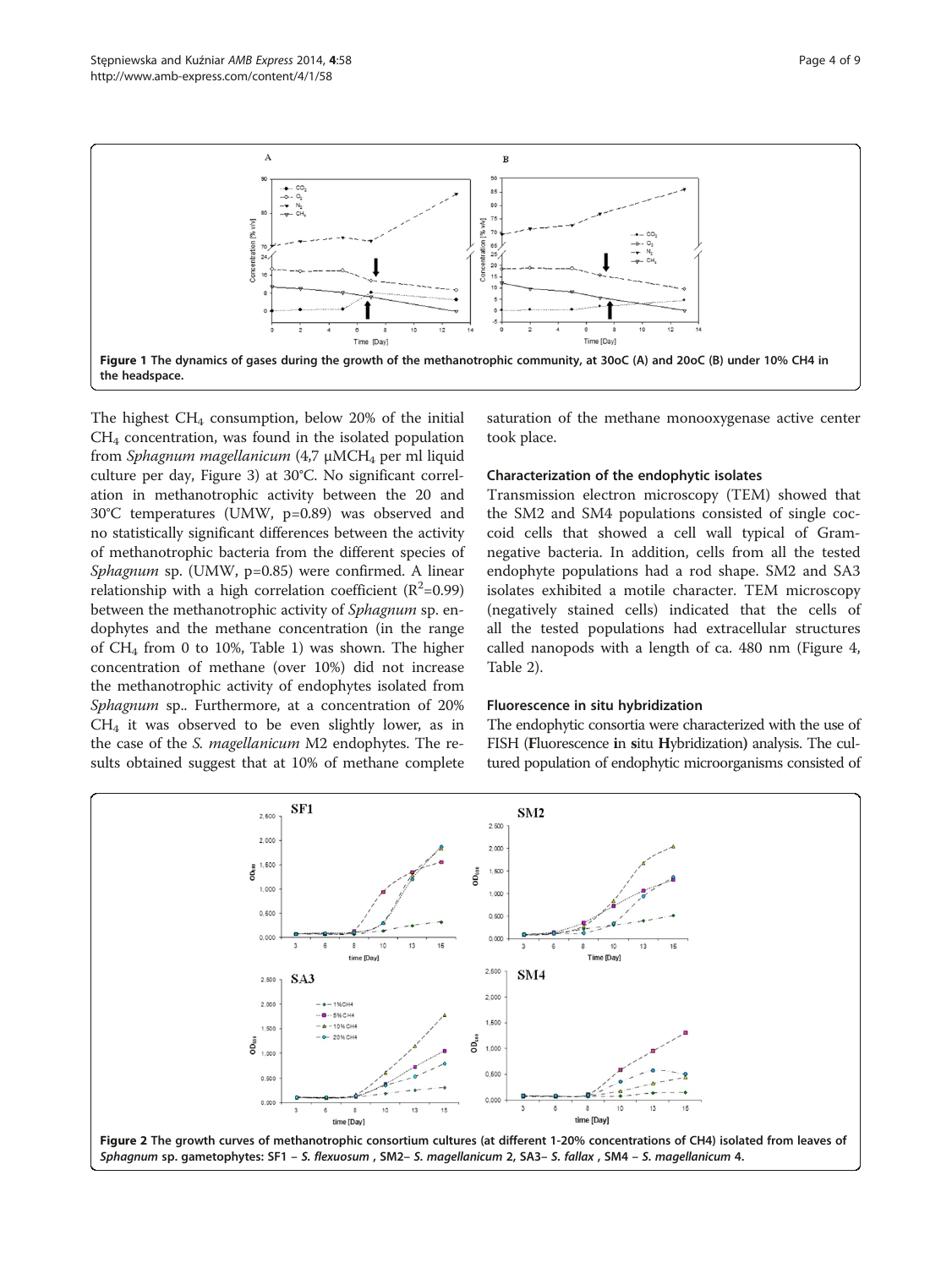Time [Day] the headspace. The highest  $CH_4$  consumption, below 20% of the initial CH4 concentration, was found in the isolated population from Sphagnum magellanicum (4,7 μMCH<sub>4</sub> per ml liquid culture per day, Figure [3](#page-4-0)) at 30°C. No significant correlation in methanotrophic activity between the 20 and 30°C temperatures (UMW, p=0.89) was observed and no statistically significant differences between the activity of methanotrophic bacteria from the different species of Sphagnum sp. (UMW, p=0.85) were confirmed. A linear relationship with a high correlation coefficient ( $R^2$ =0.99) between the methanotrophic activity of Sphagnum sp. en-

dophytes and the methane concentration (in the range of CH4 from 0 to 10%, Table [1\)](#page-4-0) was shown. The higher concentration of methane (over 10%) did not increase the methanotrophic activity of endophytes isolated from Sphagnum sp.. Furthermore, at a concentration of 20%  $CH<sub>4</sub>$  it was observed to be even slightly lower, as in the case of the S. magellanicum M2 endophytes. The results obtained suggest that at 10% of methane complete

saturation of the methane monooxygenase active center took place.

## Characterization of the endophytic isolates

Transmission electron microscopy (TEM) showed that the SM2 and SM4 populations consisted of single coccoid cells that showed a cell wall typical of Gramnegative bacteria. In addition, cells from all the tested endophyte populations had a rod shape. SM2 and SA3 isolates exhibited a motile character. TEM microscopy (negatively stained cells) indicated that the cells of all the tested populations had extracellular structures called nanopods with a length of ca. 480 nm (Figure [4](#page-5-0), Table [2\)](#page-5-0).

#### Fluorescence in situ hybridization

The endophytic consortia were characterized with the use of FISH (Fluorescence in situ Hybridization) analysis. The cultured population of endophytic microorganisms consisted of



<span id="page-3-0"></span>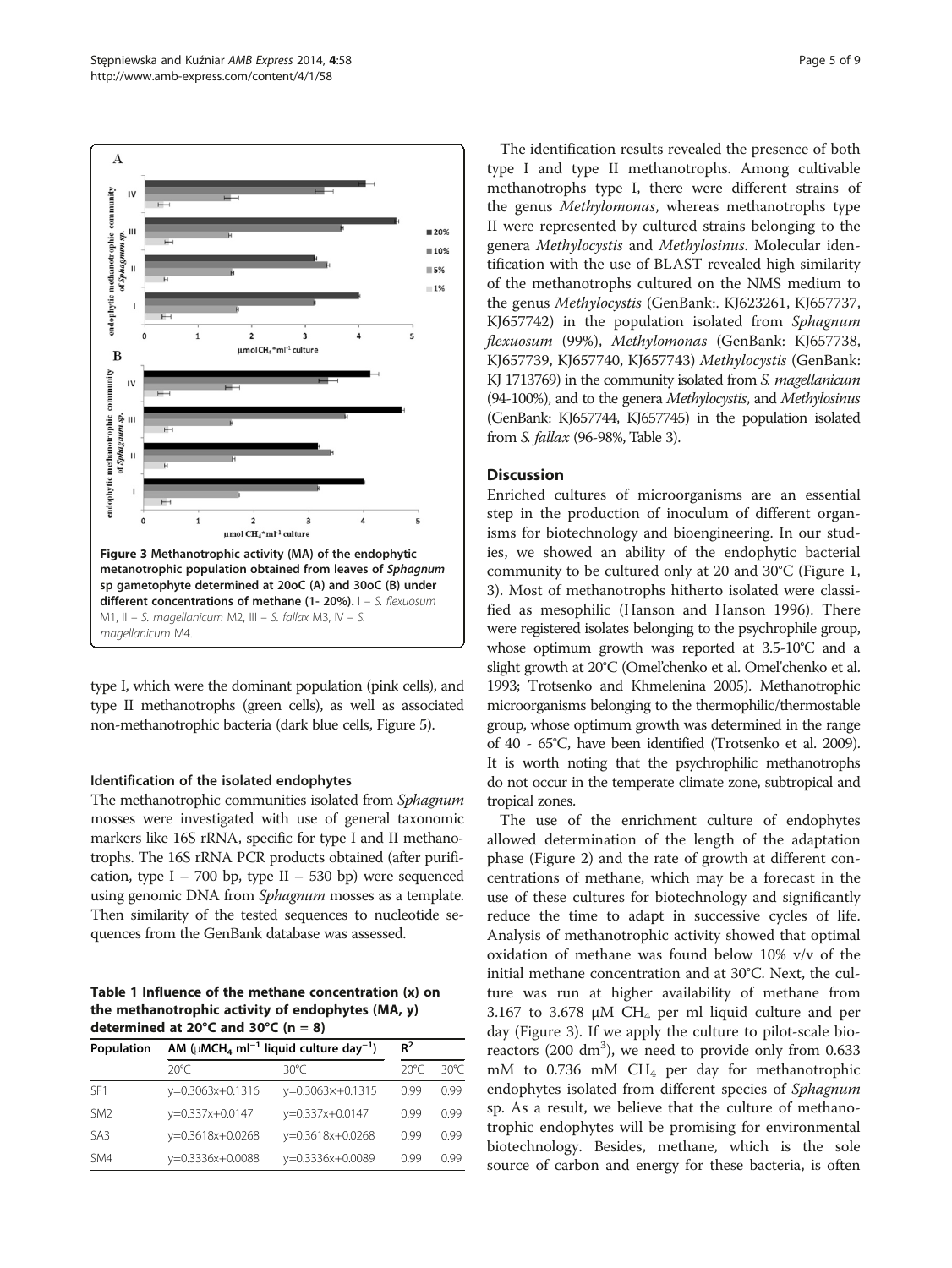<span id="page-4-0"></span>

type I, which were the dominant population (pink cells), and type II methanotrophs (green cells), as well as associated non-methanotrophic bacteria (dark blue cells, Figure [5](#page-6-0)).

#### Identification of the isolated endophytes

The methanotrophic communities isolated from Sphagnum mosses were investigated with use of general taxonomic markers like 16S rRNA, specific for type I and II methanotrophs. The 16S rRNA PCR products obtained (after purification, type I – 700 bp, type II – 530 bp) were sequenced using genomic DNA from Sphagnum mosses as a template. Then similarity of the tested sequences to nucleotide sequences from the GenBank database was assessed.

Table 1 Influence of the methane concentration (x) on the methanotrophic activity of endophytes (MA, y) determined at 20 $\degree$ C and 30 $\degree$ C (n = 8)

| Population      | AM ( $\mu$ MCH <sub>4</sub> ml <sup>-1</sup> liquid culture day <sup>-1</sup> ) | $R^2$              |      |               |
|-----------------|---------------------------------------------------------------------------------|--------------------|------|---------------|
|                 | $20^{\circ}$ C                                                                  | 30°C               | 20°C | 30° $\subset$ |
| SF <sub>1</sub> | y=0.3063x+0.1316                                                                | $y=0.3063x+0.1315$ | O 99 | 0.99          |
| SM <sub>2</sub> | y=0.337x+0.0147                                                                 | y=0.337x+0.0147    | O 99 | 0.99          |
| SA3             | y=0.3618x+0.0268                                                                | y=0.3618x+0.0268   | O 99 | O 99          |
| SM4             | y=0.3336x+0.0088                                                                | y=0.3336x+0.0089   | O 99 | O 99          |

The identification results revealed the presence of both type I and type II methanotrophs. Among cultivable methanotrophs type I, there were different strains of the genus Methylomonas, whereas methanotrophs type II were represented by cultured strains belonging to the genera Methylocystis and Methylosinus. Molecular identification with the use of BLAST revealed high similarity of the methanotrophs cultured on the NMS medium to the genus Methylocystis (GenBank:. KJ623261, KJ657737, KJ657742) in the population isolated from Sphagnum flexuosum (99%), Methylomonas (GenBank: KJ657738, KJ657739, KJ657740, KJ657743) Methylocystis (GenBank: KJ 1713769) in the community isolated from S. *magellanicum* (94-100%), and to the genera Methylocystis, and Methylosinus (GenBank: KJ657744, KJ657745) in the population isolated from S. fallax (96-98%, Table [3](#page-6-0)).

# **Discussion**

Enriched cultures of microorganisms are an essential step in the production of inoculum of different organisms for biotechnology and bioengineering. In our studies, we showed an ability of the endophytic bacterial community to be cultured only at 20 and 30°C (Figure [1](#page-3-0), 3). Most of methanotrophs hitherto isolated were classified as mesophilic (Hanson and Hanson [1996\)](#page-7-0). There were registered isolates belonging to the psychrophile group, whose optimum growth was reported at 3.5-10°C and a slight growth at 20°C (Omel'chenko et al. Omel'chenko et al. [1993](#page-7-0); Trotsenko and Khmelenina [2005\)](#page-8-0). Methanotrophic microorganisms belonging to the thermophilic/thermostable group, whose optimum growth was determined in the range of 40 - 65°C, have been identified (Trotsenko et al. [2009\)](#page-8-0). It is worth noting that the psychrophilic methanotrophs do not occur in the temperate climate zone, subtropical and tropical zones.

The use of the enrichment culture of endophytes allowed determination of the length of the adaptation phase (Figure [2](#page-3-0)) and the rate of growth at different concentrations of methane, which may be a forecast in the use of these cultures for biotechnology and significantly reduce the time to adapt in successive cycles of life. Analysis of methanotrophic activity showed that optimal oxidation of methane was found below 10% v/v of the initial methane concentration and at 30°C. Next, the culture was run at higher availability of methane from 3.167 to 3.678  $\mu$ M CH<sub>4</sub> per ml liquid culture and per day (Figure 3). If we apply the culture to pilot-scale bioreactors (200  $dm^3$ ), we need to provide only from 0.633 mM to 0.736 mM CH4 per day for methanotrophic endophytes isolated from different species of Sphagnum sp. As a result, we believe that the culture of methanotrophic endophytes will be promising for environmental biotechnology. Besides, methane, which is the sole source of carbon and energy for these bacteria, is often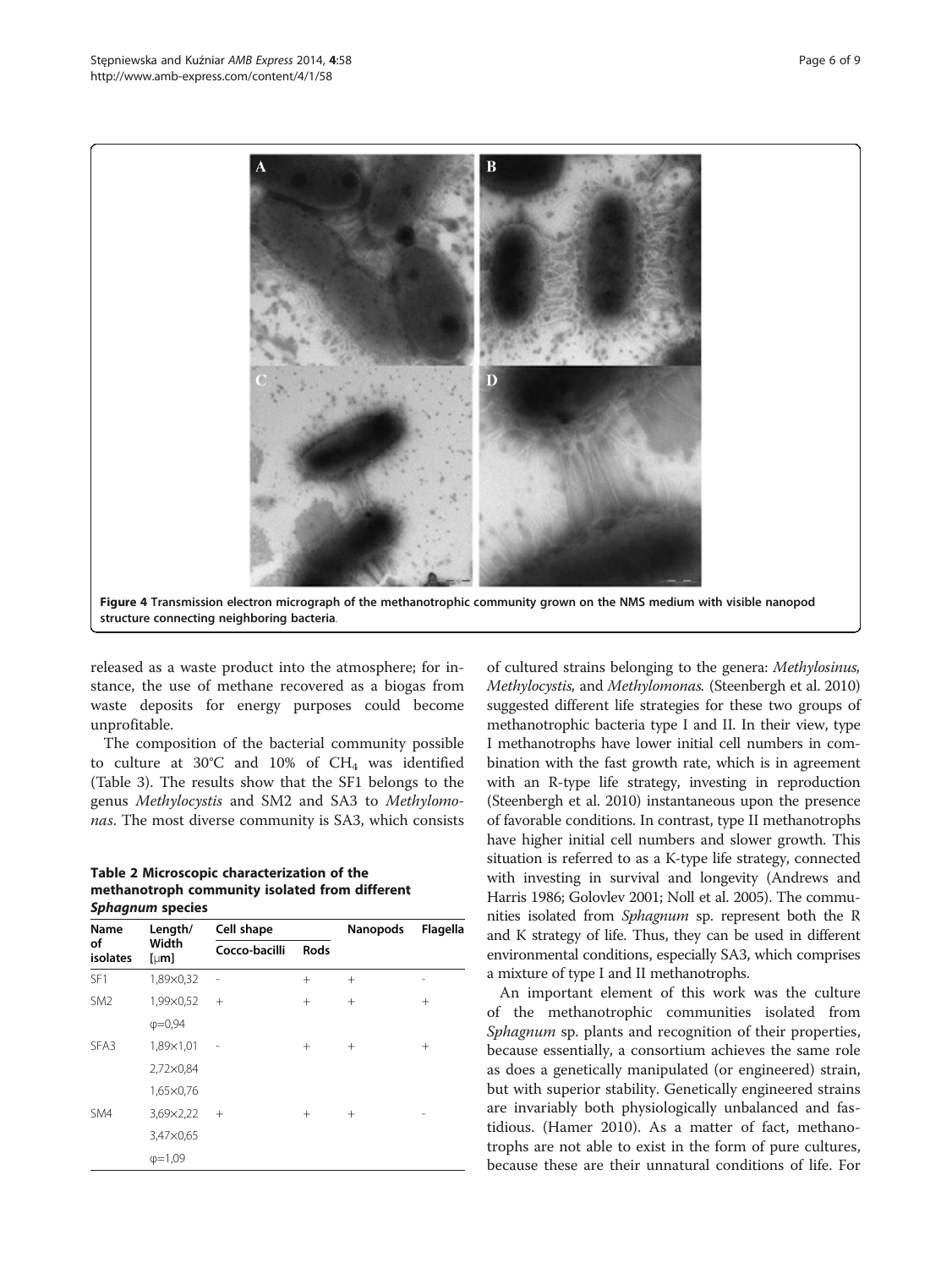<span id="page-5-0"></span>

released as a waste product into the atmosphere; for instance, the use of methane recovered as a biogas from waste deposits for energy purposes could become unprofitable.

The composition of the bacterial community possible to culture at  $30^{\circ}$ C and  $10\%$  of CH<sub>4</sub> was identified (Table [3\)](#page-6-0). The results show that the SF1 belongs to the genus Methylocystis and SM2 and SA3 to Methylomonas. The most diverse community is SA3, which consists

Table 2 Microscopic characterization of the methanotroph community isolated from different Sphagnum species

| Name<br>of<br>isolates | Length/<br>Width<br>[µm] | Cell shape    |        | Nanopods | Flagella |
|------------------------|--------------------------|---------------|--------|----------|----------|
|                        |                          | Cocco-bacilli | Rods   |          |          |
| SF <sub>1</sub>        | 1,89×0,32                |               | $+$    | $+$      | -        |
| SM <sub>2</sub>        | 1,99×0,52                | $^{+}$        | $^{+}$ | $^{+}$   | $^{+}$   |
|                        | $\phi = 0.94$            |               |        |          |          |
| SFA3                   | 1,89×1,01                |               | $^{+}$ | $^{+}$   | $^{+}$   |
|                        | 2,72×0,84                |               |        |          |          |
|                        | 1,65×0,76                |               |        |          |          |
| SM4                    | 3,69×2,22                | $^{+}$        | $^{+}$ | $^{+}$   |          |
|                        | 3,47×0,65                |               |        |          |          |
|                        | $\phi = 1,09$            |               |        |          |          |

of cultured strains belonging to the genera: Methylosinus, Methylocystis, and Methylomonas. (Steenbergh et al. [2010](#page-7-0)) suggested different life strategies for these two groups of methanotrophic bacteria type I and II. In their view, type I methanotrophs have lower initial cell numbers in combination with the fast growth rate, which is in agreement with an R-type life strategy, investing in reproduction (Steenbergh et al. [2010](#page-7-0)) instantaneous upon the presence of favorable conditions. In contrast, type II methanotrophs have higher initial cell numbers and slower growth. This situation is referred to as a K-type life strategy, connected with investing in survival and longevity (Andrews and Harris [1986](#page-7-0); Golovlev [2001;](#page-7-0) Noll et al. [2005](#page-7-0)). The communities isolated from Sphagnum sp. represent both the R and K strategy of life. Thus, they can be used in different environmental conditions, especially SA3, which comprises a mixture of type I and II methanotrophs.

An important element of this work was the culture of the methanotrophic communities isolated from Sphagnum sp. plants and recognition of their properties, because essentially, a consortium achieves the same role as does a genetically manipulated (or engineered) strain, but with superior stability. Genetically engineered strains are invariably both physiologically unbalanced and fastidious. (Hamer [2010\)](#page-7-0). As a matter of fact, methanotrophs are not able to exist in the form of pure cultures, because these are their unnatural conditions of life. For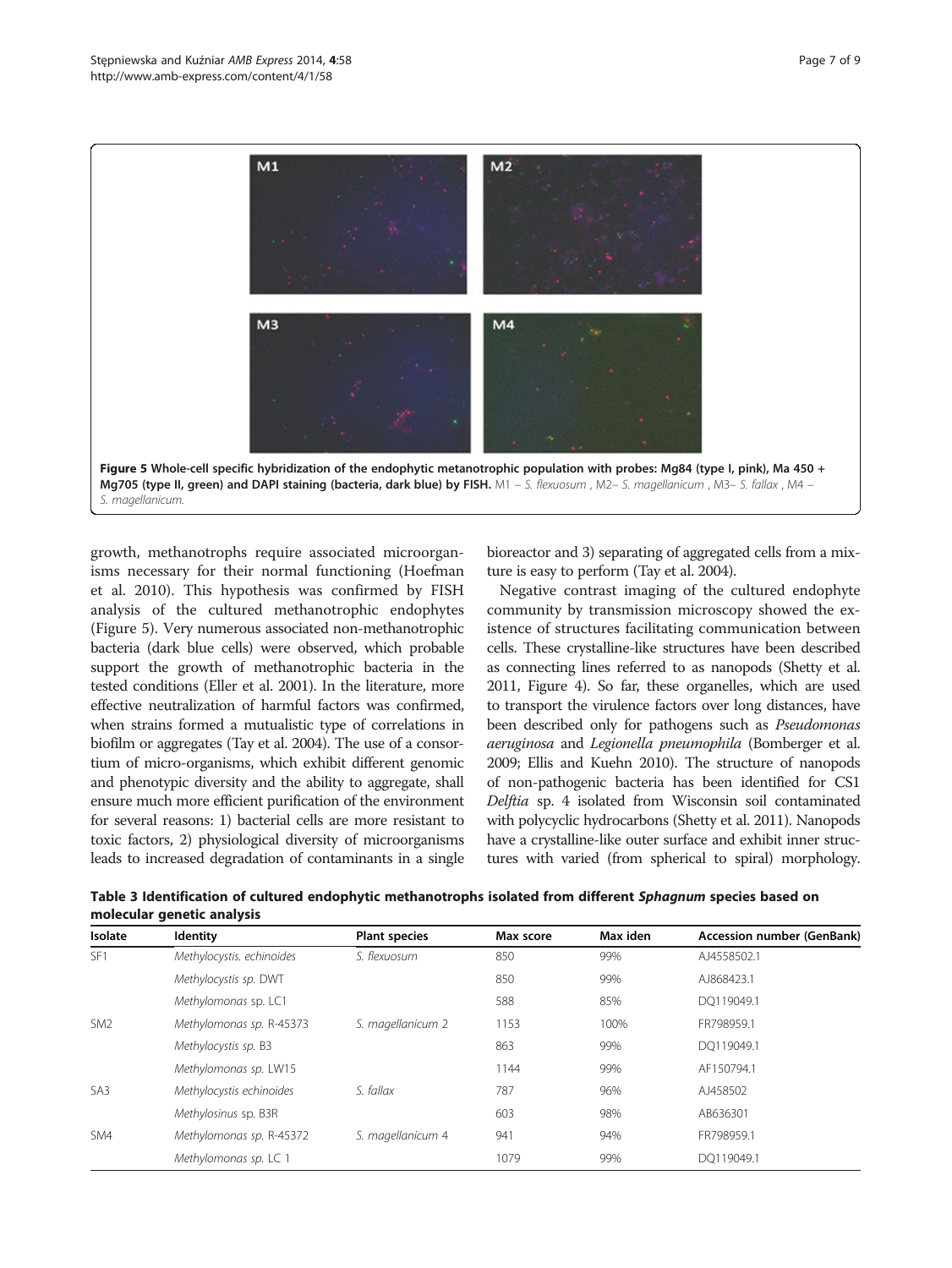<span id="page-6-0"></span>

growth, methanotrophs require associated microorganisms necessary for their normal functioning (Hoefman et al. [2010\)](#page-7-0). This hypothesis was confirmed by FISH analysis of the cultured methanotrophic endophytes (Figure 5). Very numerous associated non-methanotrophic bacteria (dark blue cells) were observed, which probable support the growth of methanotrophic bacteria in the tested conditions (Eller et al. [2001](#page-7-0)). In the literature, more effective neutralization of harmful factors was confirmed, when strains formed a mutualistic type of correlations in biofilm or aggregates (Tay et al. [2004\)](#page-8-0). The use of a consortium of micro-organisms, which exhibit different genomic and phenotypic diversity and the ability to aggregate, shall ensure much more efficient purification of the environment for several reasons: 1) bacterial cells are more resistant to toxic factors, 2) physiological diversity of microorganisms leads to increased degradation of contaminants in a single

bioreactor and 3) separating of aggregated cells from a mixture is easy to perform (Tay et al. [2004\)](#page-8-0).

Negative contrast imaging of the cultured endophyte community by transmission microscopy showed the existence of structures facilitating communication between cells. These crystalline-like structures have been described as connecting lines referred to as nanopods (Shetty et al. [2011,](#page-7-0) Figure [4](#page-5-0)). So far, these organelles, which are used to transport the virulence factors over long distances, have been described only for pathogens such as Pseudomonas aeruginosa and Legionella pneumophila (Bomberger et al. [2009;](#page-7-0) Ellis and Kuehn [2010](#page-7-0)). The structure of nanopods of non-pathogenic bacteria has been identified for CS1 Delftia sp. 4 isolated from Wisconsin soil contaminated with polycyclic hydrocarbons (Shetty et al. [2011\)](#page-7-0). Nanopods have a crystalline-like outer surface and exhibit inner structures with varied (from spherical to spiral) morphology.

Table 3 Identification of cultured endophytic methanotrophs isolated from different Sphagnum species based on molecular genetic analysis

| Isolate         | <b>Identity</b>                           | <b>Plant species</b> | Max score | Max iden | <b>Accession number (GenBank)</b> |
|-----------------|-------------------------------------------|----------------------|-----------|----------|-----------------------------------|
| SF <sub>1</sub> | Methylocystis. echinoides<br>S. flexuosum |                      | 850       | 99%      | AJ4558502.1                       |
|                 | Methylocystis sp. DWT                     |                      | 850       | 99%      | AJ868423.1                        |
|                 | Methylomonas sp. LC1                      |                      | 588       | 85%      | DO119049.1                        |
| SM <sub>2</sub> | Methylomonas sp. R-45373                  | S. magellanicum 2    | 1153      | 100%     | FR798959.1                        |
|                 | Methylocystis sp. B3                      |                      | 863       | 99%      | DO119049.1                        |
|                 | Methylomonas sp. LW15                     |                      | 1144      | 99%      | AF150794.1                        |
| SA <sub>3</sub> | Methylocystis echinoides                  | S. fallax            | 787       | 96%      | AJ458502                          |
|                 | Methylosinus sp. B3R                      |                      | 603       | 98%      | AB636301                          |
| SM4             | Methylomonas sp. R-45372                  | S. magellanicum 4    | 941       | 94%      | FR798959.1                        |
|                 | Methylomonas sp. LC 1                     |                      | 1079      | 99%      | DO119049.1                        |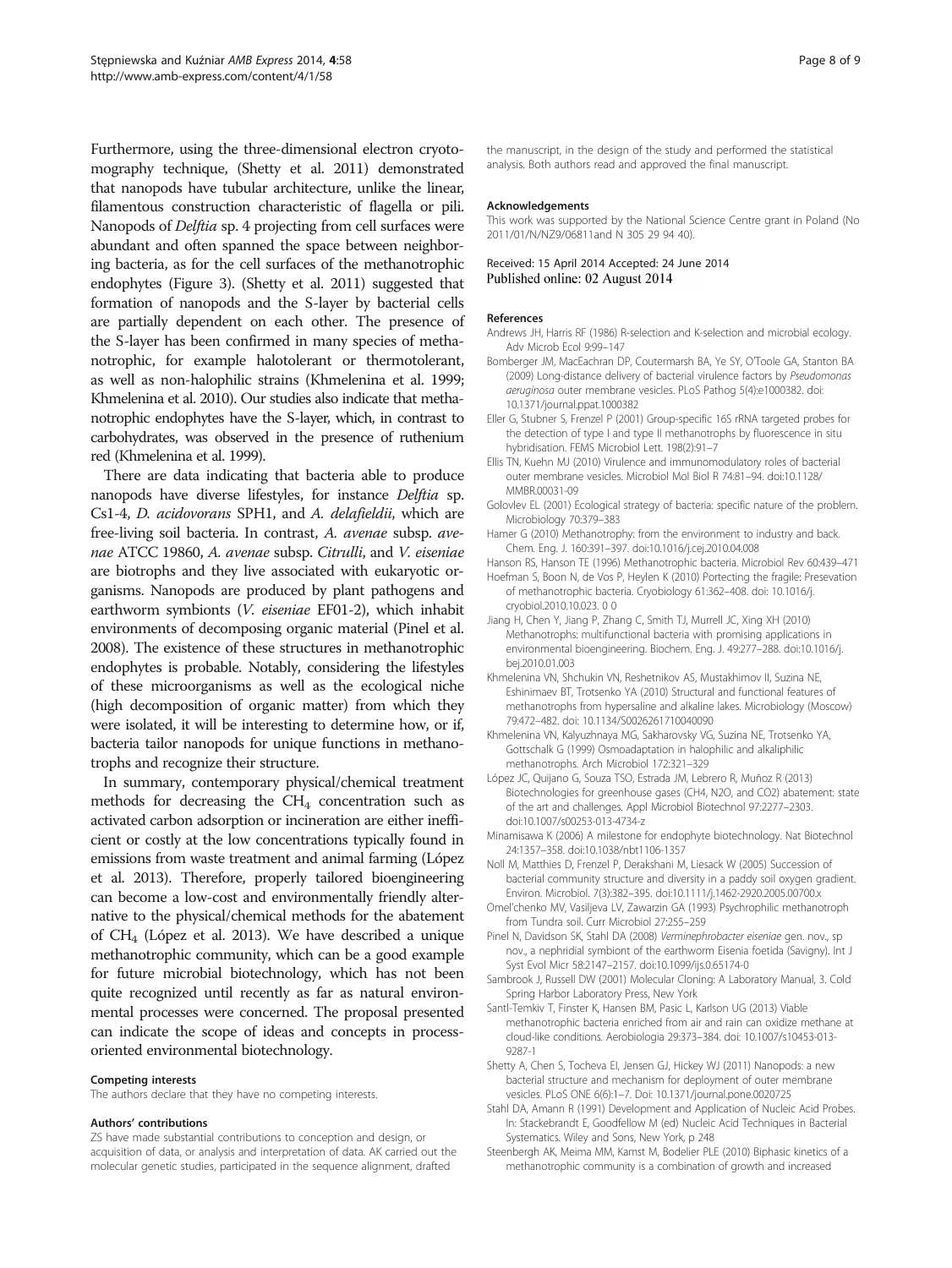<span id="page-7-0"></span>Furthermore, using the three-dimensional electron cryotomography technique, (Shetty et al. 2011) demonstrated that nanopods have tubular architecture, unlike the linear, filamentous construction characteristic of flagella or pili. Nanopods of Delftia sp. 4 projecting from cell surfaces were abundant and often spanned the space between neighboring bacteria, as for the cell surfaces of the methanotrophic endophytes (Figure [3\)](#page-4-0). (Shetty et al. 2011) suggested that formation of nanopods and the S-layer by bacterial cells are partially dependent on each other. The presence of the S-layer has been confirmed in many species of methanotrophic, for example halotolerant or thermotolerant, as well as non-halophilic strains (Khmelenina et al. 1999; Khmelenina et al. 2010). Our studies also indicate that methanotrophic endophytes have the S-layer, which, in contrast to carbohydrates, was observed in the presence of ruthenium red (Khmelenina et al. 1999).

There are data indicating that bacteria able to produce nanopods have diverse lifestyles, for instance Delftia sp. Cs1-4, D. acidovorans SPH1, and A. delafieldii, which are free-living soil bacteria. In contrast, A. avenae subsp. avenae ATCC 19860, A. avenae subsp. Citrulli, and V. eiseniae are biotrophs and they live associated with eukaryotic organisms. Nanopods are produced by plant pathogens and earthworm symbionts (V. eiseniae EF01-2), which inhabit environments of decomposing organic material (Pinel et al. 2008). The existence of these structures in methanotrophic endophytes is probable. Notably, considering the lifestyles of these microorganisms as well as the ecological niche (high decomposition of organic matter) from which they were isolated, it will be interesting to determine how, or if, bacteria tailor nanopods for unique functions in methanotrophs and recognize their structure.

In summary, contemporary physical/chemical treatment methods for decreasing the  $CH<sub>4</sub>$  concentration such as activated carbon adsorption or incineration are either inefficient or costly at the low concentrations typically found in emissions from waste treatment and animal farming (López et al. 2013). Therefore, properly tailored bioengineering can become a low-cost and environmentally friendly alternative to the physical/chemical methods for the abatement of  $CH<sub>4</sub>$  (López et al. 2013). We have described a unique methanotrophic community, which can be a good example for future microbial biotechnology, which has not been quite recognized until recently as far as natural environmental processes were concerned. The proposal presented can indicate the scope of ideas and concepts in processoriented environmental biotechnology.

#### Competing interests

The authors declare that they have no competing interests.

#### Authors' contributions

ZS have made substantial contributions to conception and design, or acquisition of data, or analysis and interpretation of data. AK carried out the molecular genetic studies, participated in the sequence alignment, drafted

the manuscript, in the design of the study and performed the statistical analysis. Both authors read and approved the final manuscript.

#### Acknowledgements

This work was supported by the National Science Centre grant in Poland (No 2011/01/N/NZ9/06811and N 305 29 94 40).

#### Received: 15 April 2014 Accepted: 24 June 2014 Published online: 02 August 2014

#### References

- Andrews JH, Harris RF (1986) R-selection and K-selection and microbial ecology. Adv Microb Ecol 9:99–147
- Bomberger JM, MacEachran DP, Coutermarsh BA, Ye SY, O'Toole GA, Stanton BA (2009) Long-distance delivery of bacterial virulence factors by Pseudomonas aeruginosa outer membrane vesicles. PLoS Pathog 5(4):e1000382. doi: 10.1371/journal.ppat.1000382
- Eller G, Stubner S, Frenzel P (2001) Group-specific 16S rRNA targeted probes for the detection of type I and type II methanotrophs by fluorescence in situ hybridisation. FEMS Microbiol Lett. 198(2):91–7
- Ellis TN, Kuehn MJ (2010) Virulence and immunomodulatory roles of bacterial outer membrane vesicles. Microbiol Mol Biol R 74:81–94. doi:[10.1128/](http://dx.doi.org/10.1128/MMBR.00031-09) [MMBR.00031-09](http://dx.doi.org/10.1128/MMBR.00031-09)
- Golovlev EL (2001) Ecological strategy of bacteria: specific nature of the problem. Microbiology 70:379–383
- Hamer G (2010) Methanotrophy: from the environment to industry and back. Chem. Eng. J. 160:391–397. doi[:10.1016/j.cej.2010.04.008](http://dx.doi.org/10.1016/j.cej.2010.04.008)
- Hanson RS, Hanson TE (1996) Methanotrophic bacteria. Microbiol Rev 60:439–471
- Hoefman S, Boon N, de Vos P, Heylen K (2010) Portecting the fragile: Presevation of methanotrophic bacteria. Cryobiology 61:362–408. doi: 10.1016/j. cryobiol.2010.10.023. 0 0
- Jiang H, Chen Y, Jiang P, Zhang C, Smith TJ, Murrell JC, Xing XH (2010) Methanotrophs: multifunctional bacteria with promising applications in environmental bioengineering. Biochem. Eng. J. 49:277–288. doi:[10.1016/j.](http://dx.doi.org/10.1016/j.bej.2010.01.003) [bej.2010.01.003](http://dx.doi.org/10.1016/j.bej.2010.01.003)
- Khmelenina VN, Shchukin VN, Reshetnikov AS, Mustakhimov II, Suzina NE, Eshinimaev BT, Trotsenko YA (2010) Structural and functional features of methanotrophs from hypersaline and alkaline lakes. Microbiology (Moscow) 79:472–482. doi: 10.1134/S0026261710040090
- Khmelenina VN, Kalyuzhnaya MG, Sakharovsky VG, Suzina NE, Trotsenko YA, Gottschalk G (1999) Osmoadaptation in halophilic and alkaliphilic methanotrophs. Arch Microbiol 172:321–329
- López JC, Quijano G, Souza TSO, Estrada JM, Lebrero R, Muñoz R (2013) Biotechnologies for greenhouse gases (CH4, N2O, and CO2) abatement: state of the art and challenges. Appl Microbiol Biotechnol 97:2277–2303. doi[:10.1007/s00253-013-4734-z](http://dx.doi.org/10.1007/s00253-013-4734-z)
- Minamisawa K (2006) A milestone for endophyte biotechnology. Nat Biotechnol 24:1357–358. doi:[10.1038/nbt1106-1357](http://dx.doi.org/10.1038/nbt1106-1357)
- Noll M, Matthies D, Frenzel P, Derakshani M, Liesack W (2005) Succession of bacterial community structure and diversity in a paddy soil oxygen gradient. Environ. Microbiol. 7(3):382–395. doi:[10.1111/j.1462-2920.2005.00700.x](http://dx.doi.org/10.1111/j.1462-2920.2005.00700.x)
- Omel'chenko MV, Vasiljeva LV, Zawarzin GA (1993) Psychrophilic methanotroph from Tundra soil. Curr Microbiol 27:255–259
- Pinel N, Davidson SK, Stahl DA (2008) Verminephrobacter eiseniae gen. nov., sp nov., a nephridial symbiont of the earthworm Eisenia foetida (Savigny). Int J Syst Evol Micr 58:2147–2157. doi:[10.1099/ijs.0.65174-0](http://dx.doi.org/10.1099/ijs.0.65174-0)
- Sambrook J, Russell DW (2001) Molecular Cloning: A Laboratory Manual, 3. Cold Spring Harbor Laboratory Press, New York
- Santl-Temkiv T, Finster K, Hansen BM, Pasic L, Karlson UG (2013) Viable methanotrophic bacteria enriched from air and rain can oxidize methane at cloud-like conditions. Aerobiologia 29:373–384. doi: 10.1007/s10453-013- 9287-1
- Shetty A, Chen S, Tocheva EI, Jensen GJ, Hickey WJ (2011) Nanopods: a new bacterial structure and mechanism for deployment of outer membrane vesicles. PLoS ONE 6(6):1–7. Doi: 10.1371/journal.pone.0020725
- Stahl DA, Amann R (1991) Development and Application of Nucleic Acid Probes. In: Stackebrandt E, Goodfellow M (ed) Nucleic Acid Techniques in Bacterial Systematics. Wiley and Sons, New York, p 248
- Steenbergh AK, Meima MM, Kamst M, Bodelier PLE (2010) Biphasic kinetics of a methanotrophic community is a combination of growth and increased